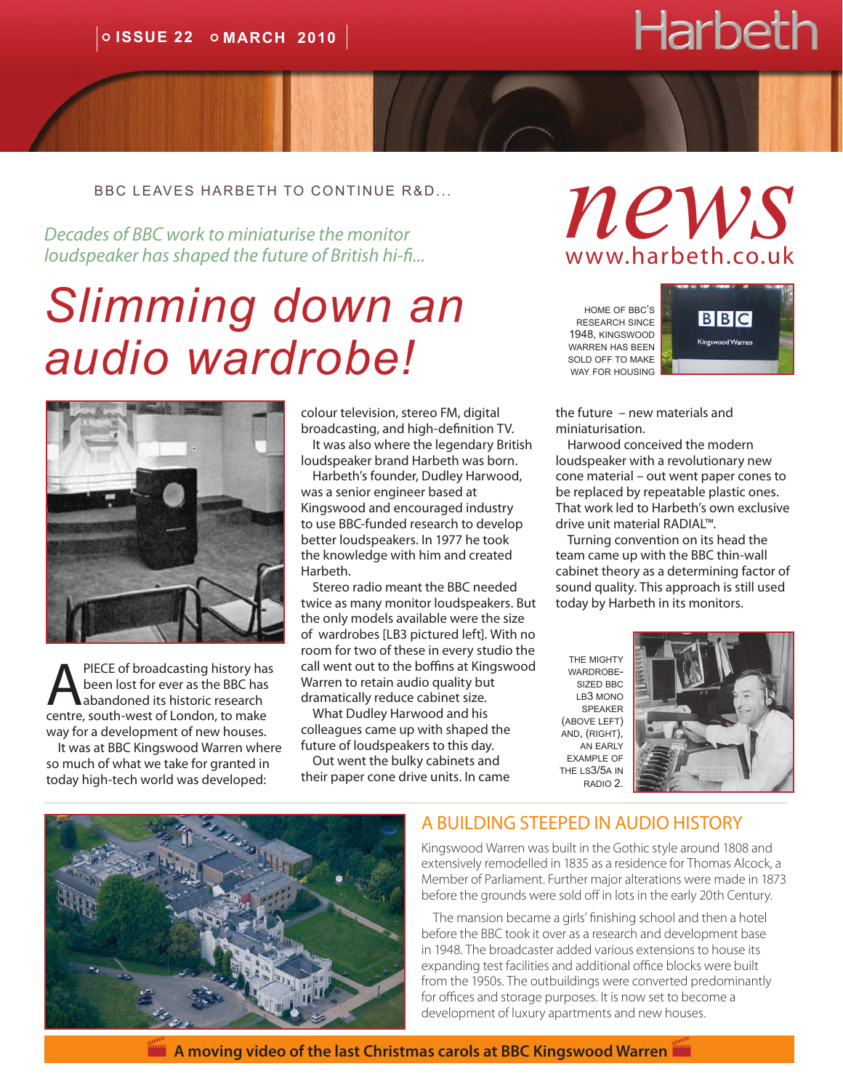# **Harbeth**

bbc leaves harbeth to continue r&D...

*loudspeaker has shaped the future of British hi-fi...*

## *Slimming down an audio wardrobe!*



PIECE of broadcasting history has been lost for ever as the BBC has abandoned its historic research centre, south-west of London, to make way for a development of new houses.

It was at BBC Kingswood Warren where so much of what we take for granted in today high-tech world was developed:

colour television, stereo FM, digital broadcasting, and high-definition TV.

It was also where the legendary British loudspeaker brand Harbeth was born.

Harbeth's founder, Dudley Harwood, was a senior engineer based at Kingswood and encouraged industry to use BBC-funded research to develop better loudspeakers. In 1977 he took the knowledge with him and created Harbeth.

Stereo radio meant the BBC needed twice as many monitor loudspeakers. But the only models available were the size of wardrobes [LB3 pictured left]. With no room for two of these in every studio the call went out to the boffins at Kingswood Warren to retain audio quality but dramatically reduce cabinet size.

What Dudley Harwood and his colleagues came up with shaped the future of loudspeakers to this day.

Out went the bulky cabinets and their paper cone drive units. In came

## BBC LEAVES HARBETH TO CONTINUE R&D...  $n_{\text{BBC}}$  **and**  $n_{\text{BBC}}$ www.harbeth.co.uk

home of bbc's research since 1948, kingswood warren has been sold off to make way for housing



the future – new materials and miniaturisation.

Harwood conceived the modern loudspeaker with a revolutionary new cone material – out went paper cones to be replaced by repeatable plastic ones. That work led to Harbeth's own exclusive drive unit material RADIAL™.

Turning convention on its head the team came up with the BBC thin-wall cabinet theory as a determining factor of sound quality. This approach is still used today by Harbeth in its monitors.

the mighty wardrobesized bbc lb3 mono speaker (above left) and, (right), an early example of the ls3/5a in radio 2.





#### A BUILDING STEEPED IN AUDIO HISTORY

Kingswood Warren was built in the Gothic style around 1808 and extensively remodelled in 1835 as a residence for Thomas Alcock, a Member of Parliament. Further major alterations were made in 1873 before the grounds were sold off in lots in the early 20th Century.

The mansion became a girls' finishing school and then a hotel before the BBC took it over as a research and development base in 1948. The broadcaster added various extensions to house its expanding test facilities and additional office blocks were built from the 1950s. The outbuildings were converted predominantly for offices and storage purposes. It is now set to become a development of luxury apartments and new houses.

 **[A moving video of the last Christmas carols at BBC Kingswood Warren](http://www.youtube.com/watch?gl=GB&v=dHxAq-TitTY)**